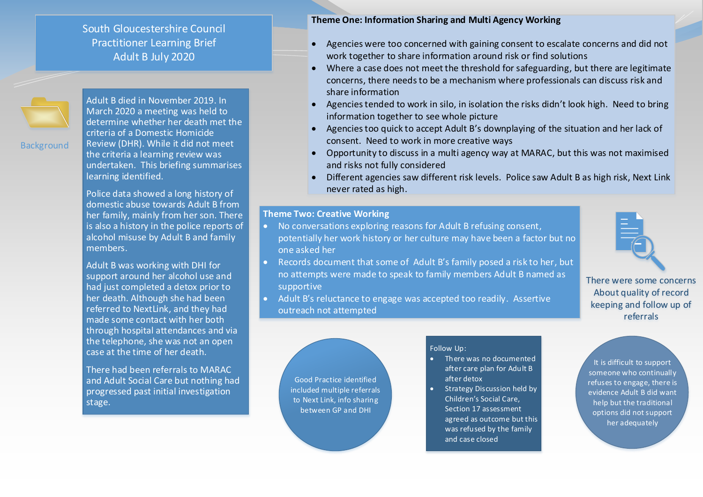South Gloucestershire Council Practitioner Learning Brief Adult B July 2020



**Background** 

Adult B died in November 2019. In March 2020 a meeting was held to determine whether her death met the criteria of a Domestic Homicide Review (DHR). While it did not meet the criteria a learning review was undertaken. This briefing summarises learning identified.

Police data showed a long history of domestic abuse towards Adult B from her family, mainly from her son. There is also a history in the police reports of alcohol misuse by Adult B and family members.

Adult B was working with DHI for support around her alcohol use and had just completed a detox prior to her death. Although she had been referred to NextLink, and they had made some contact with her both through hospital attendances and via the telephone, she was not an open case at the time of her death.

There had been referrals to MARAC and Adult Social Care but nothing had progressed past initial investigation stage.

## **Theme One: Information Sharing and Multi Agency Working**

- Agencies were too concerned with gaining consent to escalate concerns and did not work together to share information around risk or find solutions
- Where a case does not meet the threshold for safeguarding, but there are legitimate concerns, there needs to be a mechanism where professionals can discuss risk and share information
- Agencies tended to work in silo, in isolation the risks didn't look high. Need to bring information together to see whole picture
- Agencies too quick to accept Adult B's downplaying of the situation and her lack of consent. Need to work in more creative ways
- Opportunity to discuss in a multi agency way at MARAC, but this was not maximised and risks not fully considered
- Different agencies saw different risk levels. Police saw Adult B as high risk, Next Link never rated as high.

## **Theme Two: Creative Working**

- No conversations exploring reasons for Adult B refusing consent, potentially her work history or her culture may have been a factor but no one asked her
- Records document that some of Adult B's family posed a risk to her, but no attempts were made to speak to family members Adult B named as supportive
- Adult B's reluctance to engage was accepted too readily. Assertive outreach not attempted



There were some concerns About quality of record keeping and follow up of referrals

Good Practice identified included multiple referrals to Next Link, info sharing between GP and DHI

## Follow Up:

- There was no documented after care plan for Adult B after detox
- **Strategy Discussion held by** Children's Social Care, Section 17 assessment agreed as outcome but this was refused by the family and case closed

It is difficult to support someone who continually refuses to engage, there is evidence Adult B did want help but the traditional options did not support her adequately